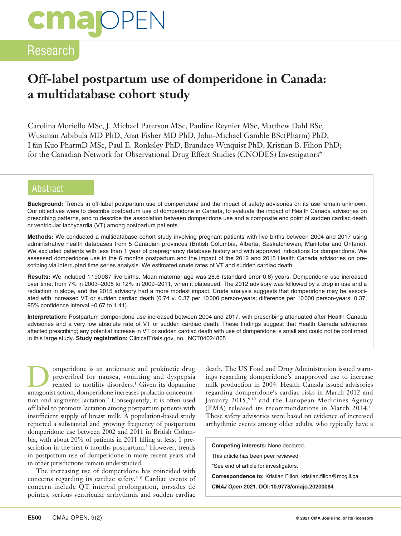# **cma** OPEN

### Research

### **Off-label postpartum use of domperidone in Canada: a multidatabase cohort study**

Carolina Moriello MSc, J. Michael Paterson MSc, Pauline Reynier MSc, Matthew Dahl BSc, Wusiman Aibibula MD PhD, Anat Fisher MD PhD, John-Michael Gamble BSc(Pharm) PhD, I fan Kuo PharmD MSc, Paul E. Ronksley PhD, Brandace Winquist PhD, Kristian B. Filion PhD; for the Canadian Network for Observational Drug Effect Studies (CNODES) Investigators\*

### Abstract

**Background:** Trends in off-label postpartum use of domperidone and the impact of safety advisories on its use remain unknown. Our objectives were to describe postpartum use of domperidone in Canada, to evaluate the impact of Health Canada advisories on prescribing patterns, and to describe the association between domperidone use and a composite end point of sudden cardiac death or ventricular tachycardia (VT) among postpartum patients.

**Methods:** We conducted a multidatabase cohort study involving pregnant patients with live births between 2004 and 2017 using administrative health databases from 5 Canadian provinces (British Columbia, Alberta, Saskatchewan, Manitoba and Ontario). We excluded patients with less than 1 year of prepregnancy database history and with approved indications for domperidone. We assessed domperidone use in the 6 months postpartum and the impact of the 2012 and 2015 Health Canada advisories on prescribing via interrupted time series analysis. We estimated crude rates of VT and sudden cardiac death.

**Results:** We included 1190987 live births. Mean maternal age was 28.6 (standard error 0.6) years. Domperidone use increased over time, from 7% in 2003–2005 to 12% in 2009–2011, when it plateaued. The 2012 advisory was followed by a drop in use and a reduction in slope, and the 2015 advisory had a more modest impact. Crude analysis suggests that domperidone may be associated with increased VT or sudden cardiac death (0.74 v. 0.37 per 10000 person-years; difference per 10000 person-years: 0.37, 95% confidence interval –0.67 to 1.41).

**Interpretation:** Postpartum domperidone use increased between 2004 and 2017, with prescribing attenuated after Health Canada advisories and a very low absolute rate of VT or sudden cardiac death. These findings suggest that Health Canada advisories affected prescribing; any potential increase in VT or sudden cardiac death with use of domperidone is small and could not be confirmed in this large study. **Study registration:** ClinicalTrials.gov, no. NCT04024865

**10** Omperidone is an antiemetic and prokinetic drug<br>
related to motility disorders.<sup>1</sup> Given its dopamine<br>
anteconist ection domneridone increases prolecting concentre prescribed for nausea, vomiting and dyspepsia antagonist action, domperidone increases prolactin concentration and augments lactation.2 Consequently, it is often used off label to promote lactation among postpartum patients with insufficient supply of breast milk. A population-based study reported a substantial and growing frequency of postpartum domperidone use between 2002 and 2011 in British Columbia, with about 20% of patients in 2011 filling at least 1 prescription in the first 6 months postpartum.<sup>3</sup> However, trends in postpartum use of domperidone in more recent years and in other jurisdictions remain understudied.

The increasing use of domperidone has coincided with concerns regarding its cardiac safety.<sup>4–8</sup> Cardiac events of concern include QT interval prolongation, torsades de pointes, serious ventricular arrhythmia and sudden cardiac

death. The US Food and Drug Administration issued warnings regarding domperidone's unapproved use to increase milk production in 2004. Health Canada issued advisories regarding domperidone's cardiac risks in March 2012 and January 2015,<sup>9,10</sup> and the European Medicines Agency (EMA) released its recommendations in March 2014.11 These safety advisories were based on evidence of increased arrhythmic events among older adults, who typically have a

**Competing interests:** None declared.

This article has been peer reviewed.

\*See end of article for investigators.

**Correspondence to:** Kristian Filion, kristian.filion@mcgill.ca

*CMAJ Open* **2021. DOI:10.9778/cmajo.20200084**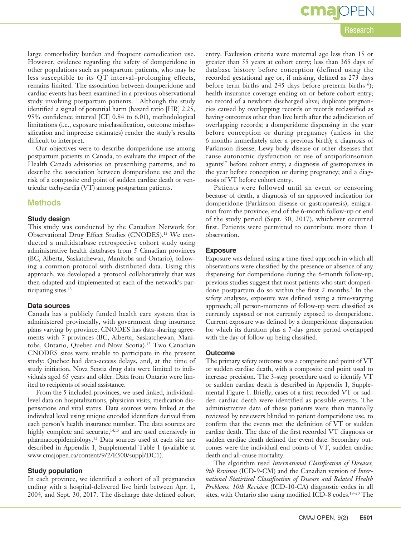large comorbidity burden and frequent comedication use. However, evidence regarding the safety of domperidone in other populations such as postpartum patients, who may be less susceptible to its QT interval–prolonging effects, remains limited. The association between domperidone and cardiac events has been examined in a previous observational study involving postpartum patients.<sup>11</sup> Although the study identified a signal of potential harm (hazard ratio [HR] 2.25, 95% confidence interval [CI] 0.84 to 6.01), methodological limitations (i.e., exposure misclassification, outcome misclassification and imprecise estimates) render the study's results difficult to interpret.

Our objectives were to describe domperidone use among postpartum patients in Canada, to evaluate the impact of the Health Canada advisories on prescribing patterns, and to describe the association between domperidone use and the risk of a composite end point of sudden cardiac death or ventricular tachycardia (VT) among postpartum patients.

### **Methods**

#### **Study design**

This study was conducted by the Canadian Network for Observational Drug Effect Studies (CNODES).12 We conducted a multidatabase retrospective cohort study using administrative health databases from 5 Canadian provinces (BC, Alberta, Saskatchewan, Manitoba and Ontario), following a common protocol with distributed data. Using this approach, we developed a protocol collaboratively that was then adapted and implemented at each of the network's participating sites.<sup>13</sup>

### **Data sources**

Canada has a publicly funded health care system that is administered provincially, with government drug insurance plans varying by province; CNODES has data-sharing agreements with 7 provinces (BC, Alberta, Saskatchewan, Manitoba, Ontario, Quebec and Nova Scotia).12 Two Canadian CNODES sites were unable to participate in the present study: Quebec had data-access delays, and, at the time of study initiation, Nova Scotia drug data were limited to individuals aged 65 years and older. Data from Ontario were limited to recipients of social assistance.

From the 5 included provinces, we used linked, individuallevel data on hospitalizations, physician visits, medication dispensations and vital status. Data sources were linked at the individual level using unique encoded identifiers derived from each person's health insurance number. The data sources are highly complete and accurate,<sup>14,15</sup> and are used extensively in pharmacoepidemiology.12 Data sources used at each site are described in Appendix 1, Supplemental Table 1 (available at www.cmajopen.ca/content/9/2/E500/suppl/DC1).

### **Study population**

In each province, we identified a cohort of all pregnancies ending with a hospital-delivered live birth between Apr. 1, 2004, and Sept. 30, 2017. The discharge date defined cohort **cma**IOPEN

entry. Exclusion criteria were maternal age less than 15 or greater than 55 years at cohort entry; less than 365 days of database history before conception (defined using the recorded gestational age or, if missing, defined as 273 days before term births and 245 days before preterm births<sup>16</sup>); health insurance coverage ending on or before cohort entry; no record of a newborn discharged alive; duplicate pregnancies caused by overlapping records or records reclassified as having outcomes other than live birth after the adjudication of overlapping records; a domperidone dispensing in the year before conception or during pregnancy (unless in the 6 months immediately after a previous birth); a diagnosis of Parkinson disease, Lewy body disease or other diseases that cause autonomic dysfunction or use of antiparkinsonian agents<sup>17</sup> before cohort entry; a diagnosis of gastroparesis in the year before conception or during pregnancy; and a diagnosis of VT before cohort entry.

Patients were followed until an event or censoring because of death, a diagnosis of an approved indication for domperidone (Parkinson disease or gastroparesis), emigration from the province, end of the 6-month follow-up or end of the study period (Sept. 30, 2017), whichever occurred first. Patients were permitted to contribute more than 1 observation.

### **Exposure**

Exposure was defined using a time-fixed approach in which all observations were classified by the presence or absence of any dispensing for domperidone during the 6-month follow-up; previous studies suggest that most patients who start domperidone postpartum do so within the first 2 months.<sup>3</sup> In the safety analyses, exposure was defined using a time-varying approach; all person-moments of follow-up were classified as currently exposed or not currently exposed to domperidone. Current exposure was defined by a domperidone dispensation for which its duration plus a 7-day grace period overlapped with the day of follow-up being classified.

#### **Outcome**

The primary safety outcome was a composite end point of VT or sudden cardiac death, with a composite end point used to increase precision. The 3-step procedure used to identify VT or sudden cardiac death is described in Appendix 1, Supplemental Figure 1. Briefly, cases of a first recorded VT or sudden cardiac death were identified as possible events. The administrative data of these patients were then manually reviewed by reviewers blinded to patient domperidone use, to confirm that the events met the definition of VT or sudden cardiac death. The date of the first recorded VT diagnosis or sudden cardiac death defined the event date. Secondary outcomes were the individual end points of VT, sudden cardiac death and all-cause mortality.

The algorithm used *International Classification of Diseases, 9th Revision* (ICD-9-CM) and the Canadian version of *International Statistical Classification of Disease and Related Health Problems, 10th Revision* (ICD-10-CA) diagnostic codes in all sites, with Ontario also using modified ICD-8 codes.<sup>18-20</sup> The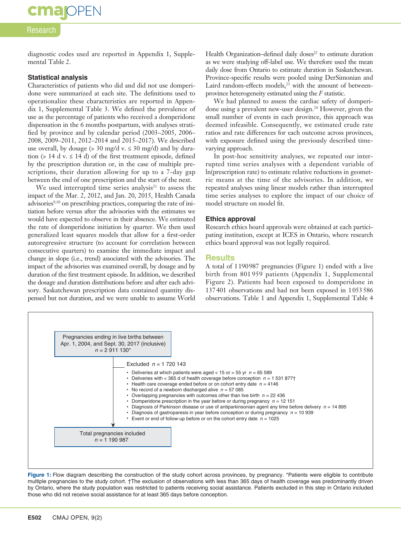## **cmalOPEN**

### Research

diagnostic codes used are reported in Appendix 1, Supplemental Table 2.

### **Statistical analysis**

Characteristics of patients who did and did not use domperidone were summarized at each site. The definitions used to operationalize these characteristics are reported in Appendix 1, Supplemental Table 3. We defined the prevalence of use as the percentage of patients who received a domperidone dispensation in the 6 months postpartum, with analyses stratified by province and by calendar period (2003–2005, 2006– 2008, 2009–2011, 2012–2014 and 2015–2017). We described use overall, by dosage ( $>$  30 mg/d v.  $\leq$  30 mg/d) and by duration ( $> 14$  d v.  $\leq 14$  d) of the first treatment episode, defined by the prescription duration or, in the case of multiple prescriptions, their duration allowing for up to a 7-day gap between the end of one prescription and the start of the next.

We used interrupted time series analysis $21$  to assess the impact of the Mar. 2, 2012, and Jan. 20, 2015, Health Canada advisories<sup>9,10</sup> on prescribing practices, comparing the rate of initiation before versus after the advisories with the estimates we would have expected to observe in their absence. We estimated the rate of domperidone initiation by quarter. We then used generalized least squares models that allow for a first-order autoregressive structure (to account for correlation between consecutive quarters) to examine the immediate impact and change in slope (i.e., trend) associated with the advisories. The impact of the advisories was examined overall, by dosage and by duration of the first treatment episode. In addition, we described the dosage and duration distributions before and after each advisory. Saskatchewan prescription data contained quantity dispensed but not duration, and we were unable to assume World

Health Organization–defined daily doses<sup>22</sup> to estimate duration as we were studying off-label use. We therefore used the mean daily dose from Ontario to estimate duration in Saskatchewan. Province-specific results were pooled using DerSimonian and Laird random-effects models, $2^3$  with the amount of betweenprovince heterogeneity estimated using the  *statistic.* 

We had planned to assess the cardiac safety of domperidone using a prevalent new-user design.24 However, given the small number of events in each province, this approach was deemed infeasible. Consequently, we estimated crude rate ratios and rate differences for each outcome across provinces, with exposure defined using the previously described timevarying approach.

In post-hoc sensitivity analyses, we repeated our interrupted time series analyses with a dependent variable of ln(prescription rate) to estimate relative reductions in geometric means at the time of the advisories. In addition, we repeated analyses using linear models rather than interrupted time series analyses to explore the impact of our choice of model structure on model fit.

### **Ethics approval**

Research ethics board approvals were obtained at each participating institution, except at ICES in Ontario, where research ethics board approval was not legally required.

### **Results**

A total of 1190987 pregnancies (Figure 1) ended with a live birth from 801 959 patients (Appendix 1, Supplemental Figure 2). Patients had been exposed to domperidone in 137401 observations and had not been exposed in 1053586 observations. Table 1 and Appendix 1, Supplemental Table 4



Figure 1: Flow diagram describing the construction of the study cohort across provinces, by pregnancy. \*Patients were eligible to contribute multiple pregnancies to the study cohort. †The exclusion of observations with less than 365 days of health coverage was predominantly driven by Ontario, where the study population was restricted to patients receiving social assistance. Patients excluded in this step in Ontario included those who did not receive social assistance for at least 365 days before conception.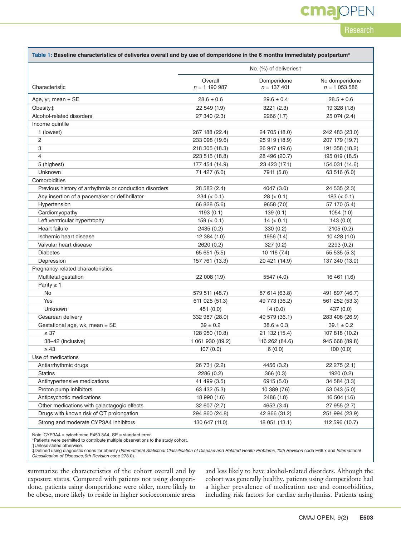## **cmajOPEN**

### Research

| Table 1: Baseline characteristics of deliveries overall and by use of domperidone in the 6 months immediately postpartum* |                          |                              |                                 |  |
|---------------------------------------------------------------------------------------------------------------------------|--------------------------|------------------------------|---------------------------------|--|
|                                                                                                                           | No. (%) of deliveries†   |                              |                                 |  |
| Characteristic                                                                                                            | Overall<br>$n = 1190987$ | Domperidone<br>$n = 137 401$ | No domperidone<br>$n = 1053586$ |  |
| Age, yr, mean $\pm$ SE                                                                                                    | $28.6 \pm 0.6$           | $29.6 \pm 0.4$               | $28.5 \pm 0.6$                  |  |
| Obesity‡                                                                                                                  | 22 549 (1.9)             | 3221 (2.3)                   | 19 328 (1.8)                    |  |
| Alcohol-related disorders                                                                                                 | 27 340 (2.3)             | 2266 (1.7)                   | 25 074 (2.4)                    |  |
| Income quintile                                                                                                           |                          |                              |                                 |  |
| 1 (lowest)                                                                                                                | 267 188 (22.4)           | 24 705 (18.0)                | 242 483 (23.0)                  |  |
| 2                                                                                                                         | 233 098 (19.6)           | 25 919 (18.9)                | 207 179 (19.7)                  |  |
| 3                                                                                                                         | 218 305 (18.3)           | 26 947 (19.6)                | 191 358 (18.2)                  |  |
| 4                                                                                                                         | 223 515 (18.8)           | 28 496 (20.7)                | 195 019 (18.5)                  |  |
| 5 (highest)                                                                                                               | 177 454 (14.9)           | 23 423 (17.1)                | 154 031 (14.6)                  |  |
| Unknown                                                                                                                   | 71 427 (6.0)             | 7911 (5.8)                   | 63 516 (6.0)                    |  |
| Comorbidities                                                                                                             |                          |                              |                                 |  |
| Previous history of arrhythmia or conduction disorders                                                                    | 28 582 (2.4)             | 4047 (3.0)                   | 24 535 (2.3)                    |  |
| Any insertion of a pacemaker or defibrillator                                                                             | $234 (= 0.1)$            | 28 (< 0.1)                   | 183 (< 0.1)                     |  |
| Hypertension                                                                                                              | 66 828 (5.6)             | 9658 (7.0)                   | 57 170 (5.4)                    |  |
| Cardiomyopathy                                                                                                            | 1193(0.1)                | 139(0.1)                     | 1054(1.0)                       |  |
| Left ventricular hypertrophy                                                                                              | $159 (= 0.1)$            | $14 (= 0.1)$                 | 143 (0.0)                       |  |
| Heart failure                                                                                                             | 2435 (0.2)               | 330(0.2)                     | 2105(0.2)                       |  |
| Ischemic heart disease                                                                                                    | 12 384 (1.0)             | 1956 (1.4)                   | 10 428 (1.0)                    |  |
| Valvular heart disease                                                                                                    | 2620 (0.2)               | 327(0.2)                     | 2293(0.2)                       |  |
| <b>Diabetes</b>                                                                                                           | 65 651 (5.5)             | 10 116 (7.4)                 | 55 535 (5.3)                    |  |
| Depression                                                                                                                | 157 761 (13.3)           | 20 421 (14.9)                | 137 340 (13.0)                  |  |
| Pregnancy-related characteristics                                                                                         |                          |                              |                                 |  |
| Multifetal gestation                                                                                                      | 22 008 (1.9)             | 5547 (4.0)                   | 16 461 (1.6)                    |  |
| Parity $\geq 1$                                                                                                           |                          |                              |                                 |  |
| No                                                                                                                        | 579 511 (48.7)           | 87 614 (63.8)                | 491 897 (46.7)                  |  |
| Yes                                                                                                                       | 611 025 (51.3)           | 49 773 (36.2)                | 561 252 (53.3)                  |  |
| Unknown                                                                                                                   | 451 (0.0)                | 14(0.0)                      | 437 (0.0)                       |  |
| Cesarean delivery                                                                                                         | 332 987 (28.0)           | 49 579 (36.1)                | 283 408 (26.9)                  |  |
| Gestational age, wk, mean ± SE                                                                                            | $39 \pm 0.2$             | $38.6 \pm 0.3$               | $39.1 \pm 0.2$                  |  |
| $\leq 37$                                                                                                                 | 128 950 (10.8)           | 21 132 (15.4)                | 107 818 (10.2)                  |  |
| 38-42 (inclusive)                                                                                                         | 1 061 930 (89.2)         | 116 262 (84.6)               | 945 668 (89.8)                  |  |
| $\geq 43$                                                                                                                 | 107(0.0)                 | 6(0.0)                       | 100(0.0)                        |  |
| Use of medications                                                                                                        |                          |                              |                                 |  |
| Antiarrhythmic drugs                                                                                                      | 26 731 (2.2)             | 4456 (3.2)                   | 22 275 (2.1)                    |  |
| <b>Statins</b>                                                                                                            | 2286(0.2)                | 366(0.3)                     | 1920 (0.2)                      |  |
| Antihypertensive medications                                                                                              | 41 499 (3.5)             | 6915 (5.0)                   | 34 584 (3.3)                    |  |
| Proton pump inhibitors                                                                                                    | 63 432 (5.3)             | 10 389 (7.6)                 | 53 043 (5.0)                    |  |
| Antipsychotic medications                                                                                                 | 18 990 (1.6)             | 2486 (1.8)                   | 16 504 (1.6)                    |  |
| Other medications with galactagogic effects                                                                               | 32 607 (2.7)             | 4652 (3.4)                   | 27 955 (2.7)                    |  |
| Drugs with known risk of QT prolongation                                                                                  | 294 860 (24.8)           | 42 866 (31.2)                | 251 994 (23.9)                  |  |
| Strong and moderate CYP3A4 inhibitors                                                                                     | 130 647 (11.0)           | 18 051 (13.1)                | 112 596 (10.7)                  |  |

Note: CYP3A4 = cytochrome P450 3A4, SE = standard error.

\*Patients were permitted to contribute multiple observations to the study cohort.

†Unless stated otherwise.

‡Defined using diagnostic codes for obesity (International Statistical Classification of Disease and Related Health Problems, 10th Revision code E66.x and International<br>Classification of Diseases, 9th Revision code 278.0).

summarize the characteristics of the cohort overall and by exposure status. Compared with patients not using domperidone, patients using domperidone were older, more likely to be obese, more likely to reside in higher socioeconomic areas and less likely to have alcohol-related disorders. Although the cohort was generally healthy, patients using domperidone had a higher prevalence of medication use and comorbidities, including risk factors for cardiac arrhythmias. Patients using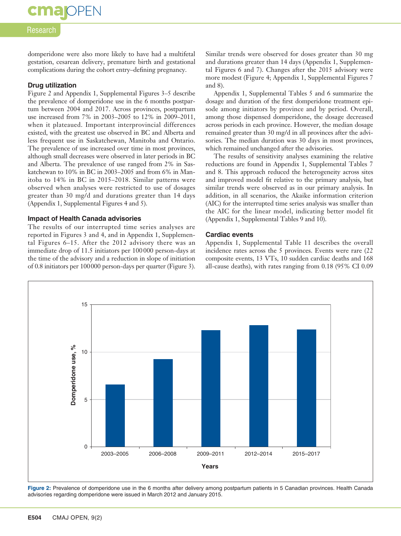### Research

**cmajoPEN** 

domperidone were also more likely to have had a multifetal gestation, cesarean delivery, premature birth and gestational complications during the cohort entry–defining pregnancy.

### **Drug utilization**

Figure 2 and Appendix 1, Supplemental Figures 3–5 describe the prevalence of domperidone use in the 6 months postpartum between 2004 and 2017. Across provinces, postpartum use increased from 7% in 2003–2005 to 12% in 2009–2011, when it plateaued. Important interprovincial differences existed, with the greatest use observed in BC and Alberta and less frequent use in Saskatchewan, Manitoba and Ontario. The prevalence of use increased over time in most provinces, although small decreases were observed in later periods in BC and Alberta. The prevalence of use ranged from 2% in Saskatchewan to 10% in BC in 2003–2005 and from 6% in Manitoba to 14% in BC in 2015–2018. Similar patterns were observed when analyses were restricted to use of dosages greater than 30 mg/d and durations greater than 14 days (Appendix 1, Supplemental Figures 4 and 5).

#### **Impact of Health Canada advisories**

The results of our interrupted time series analyses are reported in Figures 3 and 4, and in Appendix 1, Supplemental Figures 6–15. After the 2012 advisory there was an immediate drop of 11.5 initiators per 100000 person-days at the time of the advisory and a reduction in slope of initiation of 0.8 initiators per 100000 person-days per quarter (Figure 3). Similar trends were observed for doses greater than 30 mg and durations greater than 14 days (Appendix 1, Supplemental Figures 6 and 7). Changes after the 2015 advisory were more modest (Figure 4; Appendix 1, Supplemental Figures 7 and 8).

Appendix 1, Supplemental Tables 5 and 6 summarize the dosage and duration of the first domperidone treatment episode among initiators by province and by period. Overall, among those dispensed domperidone, the dosage decreased across periods in each province. However, the median dosage remained greater than 30 mg/d in all provinces after the advisories. The median duration was 30 days in most provinces, which remained unchanged after the advisories.

The results of sensitivity analyses examining the relative reductions are found in Appendix 1, Supplemental Tables 7 and 8. This approach reduced the heterogeneity across sites and improved model fit relative to the primary analysis, but similar trends were observed as in our primary analysis. In addition, in all scenarios, the Akaike information criterion (AIC) for the interrupted time series analysis was smaller than the AIC for the linear model, indicating better model fit (Appendix 1, Supplemental Tables 9 and 10).

### **Cardiac events**

Appendix 1, Supplemental Table 11 describes the overall incidence rates across the 5 provinces. Events were rare (22 composite events, 13 VTs, 10 sudden cardiac deaths and 168 all-cause deaths), with rates ranging from 0.18 (95% CI 0.09



**Figure 2:** Prevalence of domperidone use in the 6 months after delivery among postpartum patients in 5 Canadian provinces. Health Canada advisories regarding domperidone were issued in March 2012 and January 2015.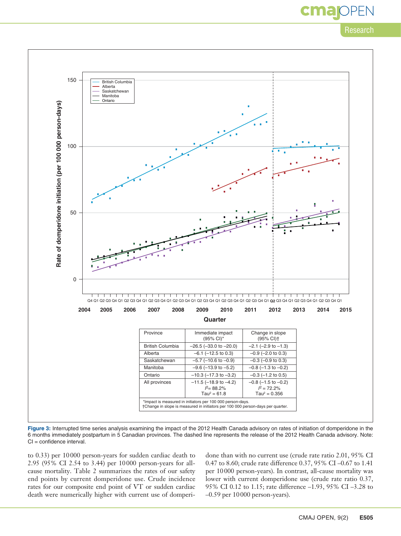Research



Figure 3: Interrupted time series analysis examining the impact of the 2012 Health Canada advisory on rates of initiation of domperidone in the 6 months immediately postpartum in 5 Canadian provinces. The dashed line represents the release of the 2012 Health Canada advisory. Note: CI = confidence interval.

to 0.33) per 10000 person-years for sudden cardiac death to 2.95 (95% CI 2.54 to 3.44) per 10000 person-years for allcause mortality. Table 2 summarizes the rates of our safety end points by current domperidone use. Crude incidence rates for our composite end point of VT or sudden cardiac death were numerically higher with current use of domperidone than with no current use (crude rate ratio 2.01, 95% CI 0.47 to 8.60; crude rate difference 0.37, 95% CI –0.67 to 1.41 per 10000 person-years). In contrast, all-cause mortality was lower with current domperidone use (crude rate ratio 0.37, 95% CI 0.12 to 1.15; rate difference –1.93, 95% CI –3.28 to –0.59 per 10000 person-years).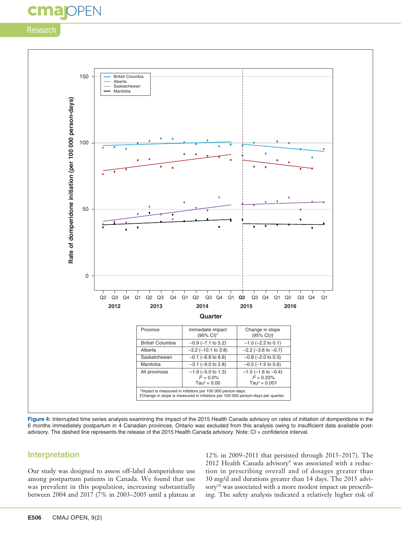## DPFN

### Research



**Figure 4:** Interrupted time series analysis examining the impact of the 2015 Health Canada advisory on rates of initiation of domperidone in the 6 months immediately postpartum in 4 Canadian provinces. Ontario was excluded from this analysis owing to insufficient data available postadvisory. The dashed line represents the release of the 2015 Health Canada advisory. Note: CI = confidence interval.

### **Interpretation**

Our study was designed to assess off-label domperidone use among postpartum patients in Canada. We found that use was prevalent in this population, increasing substantially between 2004 and 2017 (7% in 2003–2005 until a plateau at

12% in 2009–2011 that persisted through 2015–2017). The 2012 Health Canada advisory<sup>9</sup> was associated with a reduction in prescribing overall and of dosages greater than 30 mg/d and durations greater than 14 days. The 2015 advisory<sup>10</sup> was associated with a more modest impact on prescribing. The safety analysis indicated a relatively higher risk of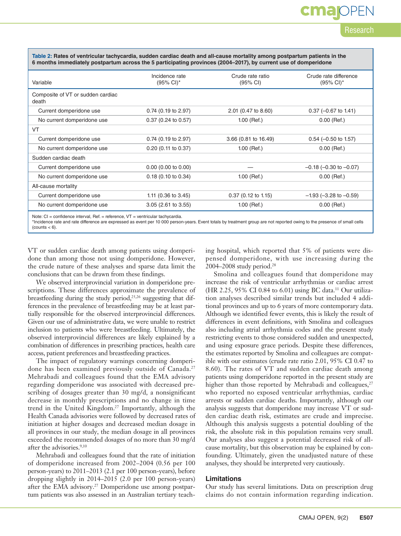**Table 2: Rates of ventricular tachycardia, sudden cardiac death and all-cause mortality among postpartum patients in the 6 months immediately postpartum across the 5 participating provinces (2004–2017), by current use of domperidone**

| Variable                                   | Incidence rate<br>(95% CI)*    | Crude rate ratio<br>(95% CI) | Crude rate difference<br>$(95\% \text{ Cl})^*$ |
|--------------------------------------------|--------------------------------|------------------------------|------------------------------------------------|
| Composite of VT or sudden cardiac<br>death |                                |                              |                                                |
| Current domperidone use                    | $0.74$ (0.19 to 2.97)          | 2.01 (0.47 to 8.60)          | $0.37$ (-0.67 to 1.41)                         |
| No current domperidone use                 | $0.37$ (0.24 to 0.57)          | $1.00$ (Ref.)                | $0.00$ (Ref.)                                  |
| VT                                         |                                |                              |                                                |
| Current domperidone use                    | $0.74$ (0.19 to 2.97)          | 3.66 (0.81 to 16.49)         | $0.54$ (-0.50 to 1.57)                         |
| No current domperidone use                 | $0.20$ (0.11 to 0.37)          | $1.00$ (Ref.)                | $0.00$ (Ref.)                                  |
| Sudden cardiac death                       |                                |                              |                                                |
| Current domperidone use                    | $0.00$ (0.00 to 0.00)          |                              | $-0.18$ ( $-0.30$ to $-0.07$ )                 |
| No current domperidone use                 | $0.18$ (0.10 to 0.34)          | $1.00$ (Ref.)                | $0.00$ (Ref.)                                  |
| All-cause mortality                        |                                |                              |                                                |
| Current domperidone use                    | 1.11 $(0.36 \text{ to } 3.45)$ | $0.37$ (0.12 to 1.15)        | $-1.93$ ( $-3.28$ to $-0.59$ )                 |
| No current domperidone use                 | $3.05$ (2.61 to 3.55)          | $1.00$ (Ref.)                | $0.00$ (Ref.)                                  |
|                                            |                                |                              |                                                |

Note: CI = confidence interval, Ref. = reference, VT = ventricular tachycardia.

\*Incidence rate and rate difference are expressed as event per 10 000 person-years. Event totals by treatment group are not reported owing to the presence of small cells  $(counts < 6)$ .

VT or sudden cardiac death among patients using domperidone than among those not using domperidone. However, the crude nature of these analyses and sparse data limit the conclusions that can be drawn from these findings.

We observed interprovincial variation in domperidone prescriptions. These differences approximate the prevalence of breastfeeding during the study period,25,26 suggesting that differences in the prevalence of breastfeeding may be at least partially responsible for the observed interprovincial differences. Given our use of administrative data, we were unable to restrict inclusion to patients who were breastfeeding. Ultimately, the observed interprovincial differences are likely explained by a combination of differences in prescribing practices, health care access, patient preferences and breastfeeding practices.

The impact of regulatory warnings concerning domperidone has been examined previously outside of Canada.<sup>27</sup> Mehrabadi and colleagues found that the EMA advisory regarding domperidone was associated with decreased prescribing of dosages greater than 30 mg/d, a nonsignificant decrease in monthly prescriptions and no change in time trend in the United Kingdom.27 Importantly, although the Health Canada advisories were followed by decreased rates of initiation at higher dosages and decreased median dosage in all provinces in our study, the median dosage in all provinces exceeded the recommended dosages of no more than 30 mg/d after the advisories.9,10

Mehrabadi and colleagues found that the rate of initiation of domperidone increased from 2002–2004 (0.56 per 100 person-years) to 2011–2013 (2.1 per 100 person-years), before dropping slightly in 2014–2015 (2.0 per 100 person-years) after the EMA advisory.<sup>27</sup> Domperidone use among postpartum patients was also assessed in an Australian tertiary teaching hospital, which reported that 5% of patients were dispensed domperidone, with use increasing during the 2004–2008 study period.28

Research

cma

Smolina and colleagues found that domperidone may increase the risk of ventricular arrhythmias or cardiac arrest (HR 2.25, 95% CI 0.84 to 6.01) using BC data.11 Our utilization analyses described similar trends but included 4 additional provinces and up to 6 years of more contemporary data. Although we identified fewer events, this is likely the result of differences in event definitions, with Smolina and colleagues also including atrial arrhythmia codes and the present study restricting events to those considered sudden and unexpected, and using exposure grace periods. Despite these differences, the estimates reported by Smolina and colleagues are compatible with our estimates (crude rate ratio 2.01, 95% CI 0.47 to 8.60). The rates of VT and sudden cardiac death among patients using domperidone reported in the present study are higher than those reported by Mehrabadi and colleagues,<sup>27</sup> who reported no exposed ventricular arrhythmias, cardiac arrests or sudden cardiac deaths. Importantly, although our analysis suggests that domperidone may increase VT or sudden cardiac death risk, estimates are crude and imprecise. Although this analysis suggests a potential doubling of the risk, the absolute risk in this population remains very small. Our analyses also suggest a potential decreased risk of allcause mortality, but this observation may be explained by confounding. Ultimately, given the unadjusted nature of these analyses, they should be interpreted very cautiously.

#### **Limitations**

Our study has several limitations. Data on prescription drug claims do not contain information regarding indication.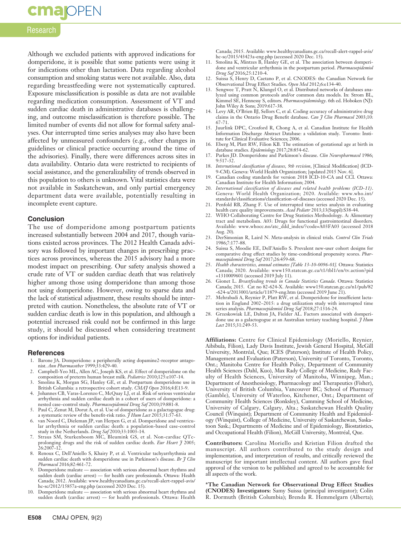### **cmajoPEN**

### Research

Although we excluded patients with approved indications for domperidone, it is possible that some patients were using it for indications other than lactation. Data regarding alcohol consumption and smoking status were not available. Also, data regarding breastfeeding were not systematically captured. Exposure misclassification is possible as data are not available regarding medication consumption. Assessment of VT and sudden cardiac death in administrative databases is challenging, and outcome misclassification is therefore possible. The limited number of events did not allow for formal safety analyses. Our interrupted time series analyses may also have been affected by unmeasured confounders (e.g., other changes in guidelines or clinical practice occurring around the time of the advisories). Finally, there were differences across sites in data availability. Ontario data were restricted to recipients of social assistance, and the generalizability of trends observed in this population to others is unknown. Vital statistics data were not available in Saskatchewan, and only partial emergency department data were available, potentially resulting in incomplete event capture.

### **Conclusion**

The use of domperidone among postpartum patients increased substantially between 2004 and 2017, though variations existed across provinces. The 2012 Health Canada advisory was followed by important changes in prescribing practices across provinces, whereas the 2015 advisory had a more modest impact on prescribing. Our safety analysis showed a crude rate of VT or sudden cardiac death that was relatively higher among those using domperidone than among those not using domperidone. However, owing to sparse data and the lack of statistical adjustment, these results should be interpreted with caution. Nonetheless, the absolute rate of VT or sudden cardiac death is low in this population, and although a potential increased risk could not be confirmed in this large study, it should be discussed when considering treatment options for individual patients.

### **References**

- 1. Barone JA. Domperidone: a peripherally acting dopamine2-receptor antagonist. *Ann Pharmacother* 1999;33:429-40.
- 2. Campbell-Yeo ML, Allen AC, Joseph KS, et al. Effect of domperidone on the composition of preterm human breast milk. *Pediatrics* 2010;125:e107-14.
- 3. Smolina K, Morgan SG, Hanley GE, et al. Postpartum domperidone use in British Columbia: a retrospective cohort study. *CMAJ Open* 2016;4:E13-9.
- 4. Johannes CB, Varas-Lorenzo C, McQuay LJ, et al. Risk of serious ventricular arrhythmia and sudden cardiac death in a cohort of users of domperidone: a
- nested case–control study. *Pharmacoepidemiol Drug Saf* 2010;19:881-8. 5. Paul C, Zenut M, Dorut A, et al. Use of domperidone as a galactagogue drug: a systematic review of the benefit-risk ratio. *J Hum Lact* 2015;31:57-63.
- 6. van Noord C, Dieleman JP, van Herpen G, et al. Domperidone and ventricular arrhythmia or sudden cardiac death: a population-based case-control study in the Netherlands. *Drug Saf* 2010;33:1003-14.
- Straus SM, Sturkenboom MC, Bleumink GS, et al. Non-cardiac QTcprolonging drugs and the risk of sudden cardiac death. *Eur Heart J* 2005;  $26:2007 - 12.$
- 8. Renoux C, Dell'Aniello S, Khairy P, et al. Ventricular tachyarrhythmia and sudden cardiac death with domperidone use in Parkinson's disease. *Br J Clin Pharmacol* 2016;82:461-72.
- 9. Domperidone maleate association with serious abnormal heart rhythms and sudden death (cardiac arrest) — for health care professionals. Ottawa: Health Canada; 2012. Available: www.healthycanadians.gc.ca/recall-alert-rappel-avis/ hc-sc/2012/15857a-eng.php (accessed 2020 Dec. 15).
- 10. Domperidone maleate association with serious abnormal heart rhythms and sudden death (cardiac arrest) — for health professionals. Ottawa: Health

Canada; 2015. Available: www.healthycanadians.gc.ca/recall-alert-rappel-avis/ hc-sc/2015/43423a-eng.php (accessed 2020 Dec. 15).

- 11. Smolina K, Mintzes B, Hanley GE, et al. The association between domperidone and ventricular arrhythmia in the postpartum period. *Pharmacoepidemiol Drug Saf* 2016;25:1210-4.
- 12. Suissa S, Henry D, Caetano P, et al. CNODES: the Canadian Network for Observational Drug Effect Studies. *Open Med* 2012;6:e134-40.
- 13. Sengwee T, Pratt N, Klungel O, et al. Distributed networks of databases analyzed using common protocols and/or common data models. In: Strom BL, Kimmel SE, Hennessy S, editors. *Pharmacoepidemiology*. 6th ed. Hoboken (NJ): John Wiley & Sons; 2019:617-38.
- 14. Levy AR, O'Brien BJ, Sellors C, et al. Coding accuracy of administrative drug claims in the Ontario Drug Benefit database. *Can J Clin Pharmacol* 2003;10: 67-71.
- 15. Juurlink DPC, Croxford R, Chong A, et al. Canadian Institute for Health Information Discharge Abstract Database: a validation study. Toronto: Institute for Clinical Evaluative Sciences; 2006.
- 16. Eberg M, Platt RW, Filion KB. The estimation of gestational age at birth in database studies. *Epidemiology* 2017;28:854-62.
- 17. Parkes JD. Domperidone and Parkinson's disease. *Clin Neuropharmacol* 1986; 9:517-32.
- 18. *International classification of diseases, 9th revision*, [Clinical Modification] (ICD-9-CM). Geneva: World Health Organization; [updated 2015 Nov. 6].
- 19. Canadian coding standards for version 2018 ICD-10-CA and CCI. Ottawa: Canadian Institute for Health Information; 2004.
- 20. *International classification of diseases and related health problems (ICD-11)*. Geneva: World Health Organization; 2020. Available: www.who.int/ standards/classifications/classification-of-diseases (accessed 2020 Dec. 15).
- 21. Penfold RB, Zhang F. Use of interrupted time series analysis in evaluating health care quality improvements. *Acad Pediatr* 2013;13(Suppl):S38-44.
- 22. WHO Collaborating Centre for Drug Statistics Methodology. A: Alimentary tract and metabolism. A03: Drugs for functional gastrointestinal disorders. Available: www.whocc.no/atc\_ddd\_index/?code=A03FA03 (accessed 2018 Aug. 20).
- 23. DerSimonian R, Laird N. Meta-analysis in clinical trials. *Control Clin Trials* 1986;7:177-88.
- 24. Suissa S, Moodie EE, Dell'Aniello S. Prevalent new-user cohort designs for comparative drug effect studies by time-conditional propensity scores. *Pharmacoepidemiol Drug Saf* 2017;26:459-68.
- 25. *Health characteristics, annual estimates [Table 13-10-0096-01].* Ottawa: Statistics Canada; 2020. Available: www150.statcan.gc.ca/t1/tbl1/en/tv.action?pid =1310009601 (accessed 2019 July 11).
- 26. Gionet L. *Breastfeeding trends in Canada Statistics Canada*. Ottawa: Statistics Canada; 2015. Cat no 82-624-X. Available: www150.statcan.gc.ca/n1/pub/82 -624-x/2013001/article/11879-eng.htm (accessed 2019 June 21).
- 27. Mehrabadi A, Reynier P, Platt RW, et al. Domperidone for insufficient lactation in England 2002–2015: a drug utilization study with interrupted time series analysis. *Pharmacoepidemiol Drug Saf* 2018;27:1316-24.
- 28. Grzeskowiak LE, Dalton JA, Fielder AL. Factors associated with domperidone use as a galactogogue at an Australian tertiary teaching hospital. *J Hum Lact* 2015;31:249-53.

**Affiliations:** Centre for Clinical Epidemiology (Moriello, Reynier, Aibibula, Filion), Lady Davis Institute, Jewish General Hospital, McGill University, Montréal, Que; ICES (Paterson); Institute of Health Policy, Management and Evaluation (Paterson), University of Toronto, Toronto, Ont.; Manitoba Centre for Health Policy, Department of Community Health Sciences (Dahl, Kuo), Max Rady College of Medicine, Rady Faculty of Health Sciences, University of Manitoba, Winnipeg, Man.; Department of Anesthesiology, Pharmacology and Therapeutics (Fisher), University of British Columbia, Vancouver BC; School of Pharmacy (Gamble), University of Waterloo, Kitchener, Ont.; Department of Community Health Sciences (Ronksley), Cumming School of Medicine, University of Calgary, Calgary, Alta.; Saskatchewan Health Quality Council (Winquist); Department of Community Health and Epidemiology (Winquist), College of Medicine, University of Saskatchewan, Saskatoon Sask.; Departments of Medicine and of Epidemiology, Biostatistics, and Occupational Health (Filion), McGill University, Montréal, Que.

**Contributors:** Carolina Moriello and Kristian Filion drafted the manuscript. All authors contributed to the study design and implementation, and interpretation of results, and critically reviewed the manuscript for important intellectual content. All authors gave final approval of the version to be published and agreed to be accountable for all aspects of the work.

**\*The Canadian Network for Observational Drug Effect Studies (CNODES) Investigators:** Samy Suissa (principal investigator); Colin R. Dormuth (British Columbia); Brenda R. Hemmelgarn (Alberta);